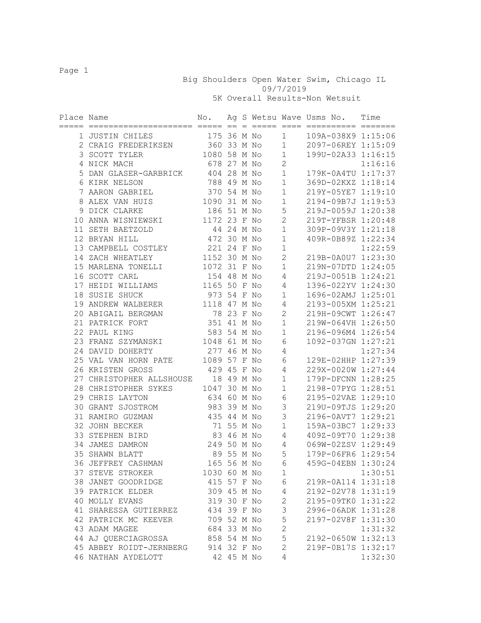Big Shoulders Open Water Swim, Chicago IL 09/7/2019

5K Overall Results-Non Wetsuit

| Place Name |                          | No.          |            | $=$ $=$ $=$ $=$ $=$ $=$ |                | Ag S Wetsu Wave Usms No.<br>==== ========== ======= | Time    |
|------------|--------------------------|--------------|------------|-------------------------|----------------|-----------------------------------------------------|---------|
|            | 1 JUSTIN CHILES          | 175 36 M No  |            |                         | $\mathbf{1}$   | 109A-038X9 1:15:06                                  |         |
|            | 2 CRAIG FREDERIKSEN      | 360 33 M No  |            |                         | $\mathbf 1$    | 2097-06REY 1:15:09                                  |         |
|            | 3 SCOTT TYLER            | 1080 58 M No |            |                         | $\mathbf 1$    | 199U-02A33 1:16:15                                  |         |
|            | 4 NICK MACH              | 678 27 M No  |            |                         | $\mathbf{2}$   |                                                     | 1:16:16 |
|            | 5 DAN GLASER-GARBRICK    | 404 28 M No  |            |                         | $\mathbf{1}$   | 179K-0A4TU 1:17:37                                  |         |
|            | 6 KIRK NELSON            | 788 49 M No  |            |                         | $\mathbf 1$    | 369D-02KXZ 1:18:14                                  |         |
|            | 7 AARON GABRIEL          | 370 54 M No  |            |                         | $1\,$          | 219Y-05YE7 1:19:10                                  |         |
|            | 8 ALEX VAN HUIS          | 1090 31 M No |            |                         | $\mathbf 1$    | 2194-09B7J 1:19:53                                  |         |
|            | 9 DICK CLARKE            | 186 51 M No  |            |                         | $\mathsf S$    | 219J-0059J 1:20:38                                  |         |
|            | 10 ANNA WISNIEWSKI       | 1172 23 F No |            |                         | $\overline{c}$ | 219T-YFBSR 1:20:48                                  |         |
|            | 11 SETH BAETZOLD         |              | 44 24 M No |                         | $1\,$          | 309P-09V3Y 1:21:18                                  |         |
|            | 12 BRYAN HILL            | 472 30 M No  |            |                         | $\mathbf 1$    | 409R-0B89Z 1:22:34                                  |         |
|            | 13 CAMPBELL COSTLEY      | 221 24 F No  |            |                         | $\mathbf 1$    |                                                     | 1:22:59 |
|            | 14 ZACH WHEATLEY         | 1152 30 M No |            |                         | $\mathbf{2}$   | 219B-0A0U7 1:23:30                                  |         |
|            | 15 MARLENA TONELLI       | 1072 31 F No |            |                         | $1\,$          | 219N-07DTD 1:24:05                                  |         |
|            | 16 SCOTT CARL            | 154 48 M No  |            |                         | 4              | 219J-0051B 1:24:21                                  |         |
|            | 17 HEIDI WILLIAMS        | 1165 50 F No |            |                         | 4              | 1396-022YV 1:24:30                                  |         |
|            | 18 SUSIE SHUCK           | 973 54 F No  |            |                         | $\mathbf 1$    | 1696-02AMJ 1:25:01                                  |         |
|            | 19 ANDREW WALBERER       | 1118 47 M No |            |                         | 4              | 2193-005XM 1:25:21                                  |         |
|            | 20 ABIGAIL BERGMAN       | 78 23 F No   |            |                         | $\overline{2}$ | 219H-09CWT 1:26:47                                  |         |
|            | 21 PATRICK FORT          | 351 41 M No  |            |                         | $\mathbf 1$    | 219W-064VH 1:26:50                                  |         |
|            | 22 PAUL KING             | 583 54 M No  |            |                         | $\mathbf 1$    | 2196-096M4 1:26:54                                  |         |
|            | 23 FRANZ SZYMANSKI       | 1048 61 M No |            |                         | 6              | 1092-037GN 1:27:21                                  |         |
|            | 24 DAVID DOHERTY         | 277 46 M No  |            |                         | 4              |                                                     | 1:27:34 |
|            | 25 VAL VAN HORN PATE     | 1089 57 F No |            |                         | 6              | 129E-02HHP 1:27:39                                  |         |
|            | 26 KRISTEN GROSS         | 429 45 F No  |            |                         | 4              | 229X-0020W 1:27:44                                  |         |
|            | 27 CHRISTOPHER ALLSHOUSE |              | 18 49 M No |                         | $\mathbf 1$    | 179P-DFCNN 1:28:25                                  |         |
|            | 28 CHRISTOPHER SYKES     | 1047 30 M No |            |                         | $\mathbf 1$    | 2198-07PYG 1:28:51                                  |         |
|            | 29 CHRIS LAYTON          | 634 60 M No  |            |                         | 6              | 2195-02VAE 1:29:10                                  |         |
|            | 30 GRANT SJOSTROM        | 983 39 M No  |            |                         | $\mathsf 3$    | 219U-09TJS 1:29:20                                  |         |
|            | 31 RAMIRO GUZMAN         | 435 44 M No  |            |                         | 3              | 2196-0AVT7 1:29:21                                  |         |
|            | 32 JOHN BECKER           | 71 55 M No   |            |                         | $1\,$          | 159A-03BC7 1:29:33                                  |         |
|            | 33 STEPHEN BIRD          | 83 46 M No   |            |                         | 4              | 409Z-09T70 1:29:38                                  |         |
|            | 34 JAMES DAMRON          | 249 50 M No  |            |                         | 4              | 069W-02ZSV 1:29:49                                  |         |
|            | 35 SHAWN BLATT           |              | 89 55 M No |                         | 5              | 179P-06FR6 1:29:54                                  |         |
|            | 36 JEFFREY CASHMAN       | 165 56 M No  |            |                         | 6              | 459G-04EBN 1:30:24                                  |         |
|            | 37 STEVE STROKER         | 1030 60 M No |            |                         | 1              |                                                     | 1:30:51 |
|            | 38 JANET GOODRIDGE       | 415 57 F No  |            |                         | 6              | 219R-0A114 1:31:18                                  |         |
|            | 39 PATRICK ELDER         | 309 45 M No  |            |                         | 4              | 2192-02V78 1:31:19                                  |         |
|            | 40 MOLLY EVANS           | 319 30 F No  |            |                         | $\mathbf 2$    | 2195-09TK0 1:31:22                                  |         |
|            | 41 SHARESSA GUTIERREZ    | 434 39 F No  |            |                         | 3              | 2996-06ADK 1:31:28                                  |         |
|            | 42 PATRICK MC KEEVER     | 709 52 M No  |            |                         | 5              | 2197-02V8F 1:31:30                                  |         |
|            | 43 ADAM MAGEE            | 684 33 M No  |            |                         | $\overline{c}$ |                                                     | 1:31:32 |
|            | 44 AJ QUERCIAGROSSA      | 858 54 M No  |            |                         | 5              | 2192-0650W 1:32:13                                  |         |
|            | 45 ABBEY ROIDT-JERNBERG  | 914 32 F No  |            |                         | $\overline{c}$ | 219F-0B17S 1:32:17                                  |         |
|            | 46 NATHAN AYDELOTT       |              | 42 45 M No |                         | 4              |                                                     | 1:32:30 |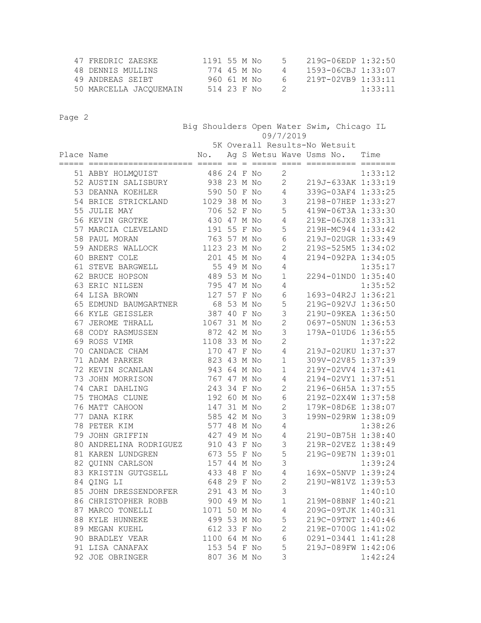| 47 FREDRIC ZAESKE      | 1191 55 M No | - 5 -         | 219G-06EDP 1:32:50 |
|------------------------|--------------|---------------|--------------------|
| 48 DENNIS MULLINS      | 774 45 M No  | 4             | 1593-06CBJ 1:33:07 |
| 49 ANDREAS SEIBT       | 960 61 M No  | 6.            | 219T-02VB9 1:33:11 |
| 50 MARCELLA JACOUEMAIN | 514 23 F No  | $\mathcal{D}$ | 1:33:11            |

|            |                        | Big Shoulders Open Water Swim, Chicago IL<br>09/7/2019 |            |     |  |                               |                               |         |  |  |
|------------|------------------------|--------------------------------------------------------|------------|-----|--|-------------------------------|-------------------------------|---------|--|--|
|            |                        |                                                        |            |     |  | 5K Overall Results-No Wetsuit |                               |         |  |  |
| Place Name | ==================     | No.<br>=== ==                                          |            | $=$ |  |                               | Ag S Wetsu Wave Usms No. Time |         |  |  |
|            | 51 ABBY HOLMQUIST      | 486 24 F No                                            |            |     |  | $\mathbf{2}$                  |                               | 1:33:12 |  |  |
|            | 52 AUSTIN SALISBURY    | 938 23 M No                                            |            |     |  | $\mathbf{2}$                  | 219J-633AK 1:33:19            |         |  |  |
|            | 53 DEANNA KOEHLER      | 590 50 F No                                            |            |     |  | 4                             | 339G-03AF4 1:33:25            |         |  |  |
|            | 54 BRICE STRICKLAND    | 1029 38 M No                                           |            |     |  | 3                             | 2198-07HEP 1:33:27            |         |  |  |
|            | 55 JULIE MAY           | 706 52 F No                                            |            |     |  | 5                             | 419W-06T3A 1:33:30            |         |  |  |
|            | 56 KEVIN GROTKE        | 430 47 M No                                            |            |     |  | 4                             | 219E-06JX8 1:33:31            |         |  |  |
|            | 57 MARCIA CLEVELAND    | 191 55 F No                                            |            |     |  | 5                             | 219H-MC944 1:33:42            |         |  |  |
|            | 58 PAUL MORAN          | 763 57 M No                                            |            |     |  | 6                             | 219J-02UGR 1:33:49            |         |  |  |
|            | 59 ANDERS WALLOCK      | 1123 23 M No                                           |            |     |  | $\mathbf{2}$                  | 219S-525M5 1:34:02            |         |  |  |
|            | 60 BRENT COLE          | 201 45 M No                                            |            |     |  | 4                             | 2194-092PA 1:34:05            |         |  |  |
|            | 61 STEVE BARGWELL      |                                                        | 55 49 M No |     |  | 4                             |                               | 1:35:17 |  |  |
|            | 62 BRUCE HOPSON        | 489 53 M No                                            |            |     |  | $\mathbf 1$                   | 2294-01ND0 1:35:40            |         |  |  |
|            | 63 ERIC NILSEN         | 795 47 M No                                            |            |     |  | 4                             |                               | 1:35:52 |  |  |
|            | 64 LISA BROWN          | 127 57 F No                                            |            |     |  | 6                             | 1693-04R2J 1:36:21            |         |  |  |
|            | 65 EDMUND BAUMGARTNER  | 68 53 M No                                             |            |     |  | 5                             | 219G-092VJ 1:36:50            |         |  |  |
|            | 66 KYLE GEISSLER       | 387 40 F No                                            |            |     |  | 3                             | 219U-09KEA 1:36:50            |         |  |  |
|            | 67 JEROME THRALL       | 1067 31 M No                                           |            |     |  | $\overline{c}$                | 0697-05NUN 1:36:53            |         |  |  |
|            | 68 CODY RASMUSSEN      | 872 42 M No                                            |            |     |  | 3                             | 179A-01UD6 1:36:55            |         |  |  |
|            | 69 ROSS VIMR           | 1108 33 M No                                           |            |     |  | $\overline{c}$                |                               | 1:37:22 |  |  |
|            | 70 CANDACE CHAM        | 170 47 F No                                            |            |     |  | 4                             | 219J-02UKU 1:37:37            |         |  |  |
|            | 71 ADAM PARKER         | 823 43 M No                                            |            |     |  | $\mathbf 1$                   | 309V-02V85 1:37:39            |         |  |  |
|            | 72 KEVIN SCANLAN       | 943 64 M No                                            |            |     |  | $\mathbf{1}$                  | 219Y-02VV4 1:37:41            |         |  |  |
|            | 73 JOHN MORRISON       | 767 47 M No                                            |            |     |  | 4                             | 2194-02VY1 1:37:51            |         |  |  |
|            | 74 CARI DAHLING        | 243 34 F No                                            |            |     |  | $\mathbf{2}$                  | 2196-06H5A 1:37:55            |         |  |  |
|            | 75 THOMAS CLUNE        | 192 60 M No                                            |            |     |  | 6                             | 219Z-02X4W 1:37:58            |         |  |  |
|            | 76 MATT CAHOON         | 147                                                    | 31 M No    |     |  | $\mathbf{2}$                  | 179K-08D6E 1:38:07            |         |  |  |
|            | 77 DANA KIRK           | 585 42 M No                                            |            |     |  | 3                             | 199N-029RW 1:38:09            |         |  |  |
|            | 78 PETER KIM           | 577 48 M No                                            |            |     |  | 4                             |                               | 1:38:26 |  |  |
|            | 79 JOHN GRIFFIN        | 427 49 M No                                            |            |     |  | 4                             | 219U-0B75H 1:38:40            |         |  |  |
|            | 80 ANDRELINA RODRIGUEZ | 910 43 F No                                            |            |     |  | 3                             | 219R-02VEZ 1:38:49            |         |  |  |
|            | 81 KAREN LUNDGREN      | 673 55 F No                                            |            |     |  | 5                             | 219G-09E7N 1:39:01            |         |  |  |
|            | 82 QUINN CARLSON       | 157 44 M No                                            |            |     |  | 3                             |                               | 1:39:24 |  |  |
|            | 83 KRISTIN GUTGSELL    | 433 48 F No                                            |            |     |  | 4                             | 169X-05NVP 1:39:24            |         |  |  |
|            | 84 QING LI             | 648 29 F No                                            |            |     |  | $\mathbf{2}$                  | 219U-W81VZ 1:39:53            |         |  |  |
|            | 85 JOHN DRESSENDORFER  | 291 43 M No                                            |            |     |  | 3                             |                               | 1:40:10 |  |  |
|            | 86 CHRISTOPHER ROBB    | 900 49 M No                                            |            |     |  | $1\,$                         | 219M-08BNF 1:40:21            |         |  |  |
|            | 87 MARCO TONELLI       | 1071 50 M No                                           |            |     |  | 4                             | 209G-09TJK 1:40:31            |         |  |  |
|            | 88 KYLE HUNNEKE        | 499 53 M No                                            |            |     |  | 5                             | 219C-09TNT 1:40:46            |         |  |  |
|            | 89 MEGAN KUEHL         | 612 33 F No                                            |            |     |  | $\overline{2}$                | 219E-0700G 1:41:02            |         |  |  |
|            | 90 BRADLEY VEAR        | 1100 64 M No                                           |            |     |  | 6                             | 0291-03441 1:41:28            |         |  |  |
|            | 91 LISA CANAFAX        | 153 54 F No                                            |            |     |  | 5                             | 219J-089FW 1:42:06            |         |  |  |
|            | 92 JOE OBRINGER        | 807 36 M No                                            |            |     |  | 3                             |                               | 1:42:24 |  |  |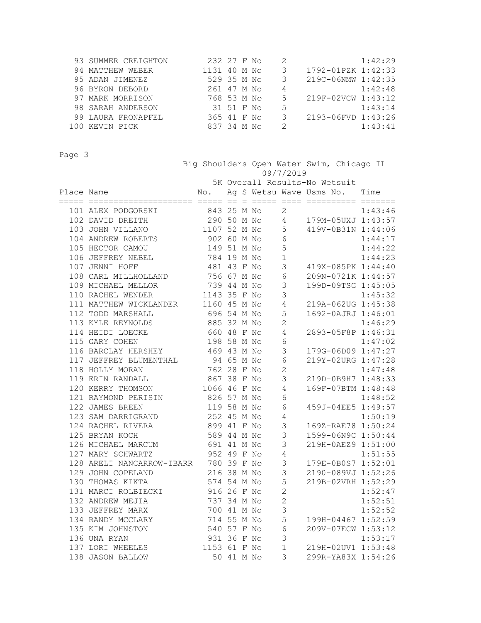| 93 SUMMER CREIGHTON | 232 27 F No  |            |  |               |                    | 1:42:29 |
|---------------------|--------------|------------|--|---------------|--------------------|---------|
| 94 MATTHEW WEBER    | 1131 40 M No |            |  |               | 1792-01PZK 1:42:33 |         |
| 95 ADAN JIMENEZ     | 529 35 M No  |            |  |               | 219C-06NMW 1:42:35 |         |
| 96 BYRON DEBORD     | 261 47 M No  |            |  | 4             |                    | 1:42:48 |
| 97 MARK MORRISON    | 768 53 M No  |            |  | $\mathcal{F}$ | 219F-02VCW 1:43:12 |         |
| 98 SARAH ANDERSON   |              | 31 51 F No |  | 5             |                    | 1:43:14 |
| 99 LAURA FRONAPFEL  | 365 41 F No  |            |  |               | 2193-06FVD 1:43:26 |         |
| 100 KEVIN PICK      | 837 34 M No  |            |  | $\mathcal{P}$ |                    | 1:43:41 |

 Big Shoulders Open Water Swim, Chicago IL 09/7/2019 5K Overall Results-No Wetsuit Place Name No. Ag S Wetsu Wave Usms No. Time ===== ===================== ===== == = ===== ==== ========== ======= 101 ALEX PODGORSKI 843 25 M No 2 1:43:46 102 DAVID DREITH 290 50 M No 4 179M-05UXJ 1:43:57

|  | TAS DUALD DIVOTINI                                               | LUU UU II INU |            |  | - 700 - 700 - 700 - 700 - 700 - 700 - 700 - 700 - 700 - 700 - 700 - 700 - 700 - 700 - 700 - 700 - 700 - 700 - 700 - 700 - 700 - 700 - 700 - 700 - 700 - 700 - 700 - 700 - 700 - 700 - 700 - 700 - 700 - 700 - 700 - 700 - 700 - | $\perp$ , jii vyuan $\perp$ . To. J $\cdot$ |         |
|--|------------------------------------------------------------------|---------------|------------|--|---------------------------------------------------------------------------------------------------------------------------------------------------------------------------------------------------------------------------------|---------------------------------------------|---------|
|  | 103 JOHN VILLANO                                                 | 1107 52 M No  |            |  | 5                                                                                                                                                                                                                               | 419V-0B31N 1:44:06                          |         |
|  | 104 ANDREW ROBERTS                                               | 902 60 M No   |            |  | $\epsilon$                                                                                                                                                                                                                      |                                             | 1:44:17 |
|  | 105 HECTOR CAMOU                                                 | 149 51 M No   |            |  | 5                                                                                                                                                                                                                               |                                             | 1:44:22 |
|  | 106 JEFFREY NEBEL                                                | 784 19 M No   |            |  | $\mathbf{1}$                                                                                                                                                                                                                    |                                             | 1:44:23 |
|  | 107 JENNI HOFF                                                   | 481 43 F No   |            |  | 3                                                                                                                                                                                                                               | 419X-085PK 1:44:40                          |         |
|  | 108 CARL MILLHOLLAND                                             | 756 67 M No   |            |  | $\sqrt{6}$                                                                                                                                                                                                                      | 209N-0721K 1:44:57                          |         |
|  |                                                                  |               |            |  | 3                                                                                                                                                                                                                               | 199D-09TSG 1:45:05                          |         |
|  | 109 MICHAEL MELLOR 739 44 M No<br>110 RACHEL WENDER 1143 35 F No |               |            |  | 3                                                                                                                                                                                                                               |                                             | 1:45:32 |
|  | 111 MATTHEW WICKLANDER 1160 45 M No                              |               |            |  | $\overline{4}$                                                                                                                                                                                                                  | 219A-062UG 1:45:38                          |         |
|  | 696 54 M No<br>112 TODD MARSHALL                                 |               |            |  | 5                                                                                                                                                                                                                               | 1692-0AJRJ 1:46:01                          |         |
|  | 113 KYLE REYNOLDS 885 32 M No                                    |               |            |  | $\overline{c}$                                                                                                                                                                                                                  |                                             | 1:46:29 |
|  | 114 HEIDI LOECKE 660 48 F No                                     |               |            |  | $\overline{4}$                                                                                                                                                                                                                  | 2893-05F8P 1:46:31                          |         |
|  | 115 GARY COHEN 198 58 M No                                       |               |            |  | $\sqrt{6}$                                                                                                                                                                                                                      |                                             | 1:47:02 |
|  | 116 BARCLAY HERSHEY 469 43 M No                                  |               |            |  | $\mathfrak{Z}$                                                                                                                                                                                                                  | 179G-06D09 1:47:27                          |         |
|  | 117 JEFFREY BLUMENTHAL 94 65 M No                                |               |            |  | $6\,$                                                                                                                                                                                                                           | 219Y-02URG 1:47:28                          |         |
|  | 118 HOLLY MORAN 762 28 F No                                      |               |            |  | $\mathbf{2}$                                                                                                                                                                                                                    |                                             | 1:47:48 |
|  | 119 ERIN RANDALL 867 38 F No                                     |               |            |  | $\mathcal{S}$                                                                                                                                                                                                                   | 219D-0B9H7 1:48:33                          |         |
|  | 120 KERRY THOMSON 1066 46 F No                                   |               |            |  | 4                                                                                                                                                                                                                               | 169F-07BTM 1:48:48                          |         |
|  | 121 RAYMOND PERISIN 826 57 M No                                  |               |            |  | 6                                                                                                                                                                                                                               |                                             | 1:48:52 |
|  | 122 JAMES BREEN                                                  | 119 58 M No   |            |  | 6                                                                                                                                                                                                                               | 459J-04EE5 1:49:57                          |         |
|  | 123 SAM DARRIGRAND                                               | 252 45 M No   |            |  | $\overline{4}$                                                                                                                                                                                                                  |                                             | 1:50:19 |
|  | 124 RACHEL RIVERA                                                | 899 41 F No   |            |  | $\mathfrak{Z}$                                                                                                                                                                                                                  | 169Z-RAE78 1:50:24                          |         |
|  | 125 BRYAN KOCH                                                   | 589 44 M No   |            |  | $\mathsf 3$                                                                                                                                                                                                                     | 1599-06N9C 1:50:44                          |         |
|  | 126 MICHAEL MARCUM                                               | 691 41 M No   |            |  | $\mathfrak{Z}$                                                                                                                                                                                                                  | 219H-0AEZ9 1:51:00                          |         |
|  | 127 MARY SCHWARTZ                                                | 952 49 F No   |            |  | $\sqrt{4}$                                                                                                                                                                                                                      |                                             | 1:51:55 |
|  | 128 ARELI NANCARROW-IBARR 780 39 F No                            |               |            |  | $\mathsf S$                                                                                                                                                                                                                     | 179E-0B0S7 1:52:01                          |         |
|  | 129 JOHN COPELAND                                                | 216 38 M No   |            |  | 3                                                                                                                                                                                                                               | 2190-089VJ 1:52:26                          |         |
|  | 130 THOMAS KIKTA                                                 | 574 54 M No   |            |  | 5                                                                                                                                                                                                                               | 219B-02VRH 1:52:29                          |         |
|  | 131 MARCI ROLBIECKI                                              | 916 26 F No   |            |  | $\mathbf{2}$                                                                                                                                                                                                                    |                                             | 1:52:47 |
|  | 132 ANDREW MEJIA                                                 | 737 34 M No   |            |  | $\overline{c}$                                                                                                                                                                                                                  |                                             | 1:52:51 |
|  | 133 JEFFREY MARX                                                 | 700 41 M No   |            |  | $\mathcal{S}$                                                                                                                                                                                                                   |                                             | 1:52:52 |
|  | 134 RANDY MCCLARY 714 55 M No                                    |               |            |  | $\mathsf S$                                                                                                                                                                                                                     | 199H-04467 1:52:59                          |         |
|  | 135 KIM JOHNSTON 540 57 F No                                     |               |            |  | $\sqrt{6}$                                                                                                                                                                                                                      | 209V-07ECW 1:53:12                          |         |
|  | 136 UNA RYAN                                                     | 931 36 F No   |            |  | 3                                                                                                                                                                                                                               |                                             | 1:53:17 |
|  | 137 LORI WHEELES 1153 61 F No                                    |               |            |  |                                                                                                                                                                                                                                 | 1 219H-02UV1 1:53:48                        |         |
|  | 138 JASON BALLOW                                                 |               | 50 41 M No |  |                                                                                                                                                                                                                                 | 3 299R-YA83X 1:54:26                        |         |
|  |                                                                  |               |            |  |                                                                                                                                                                                                                                 |                                             |         |